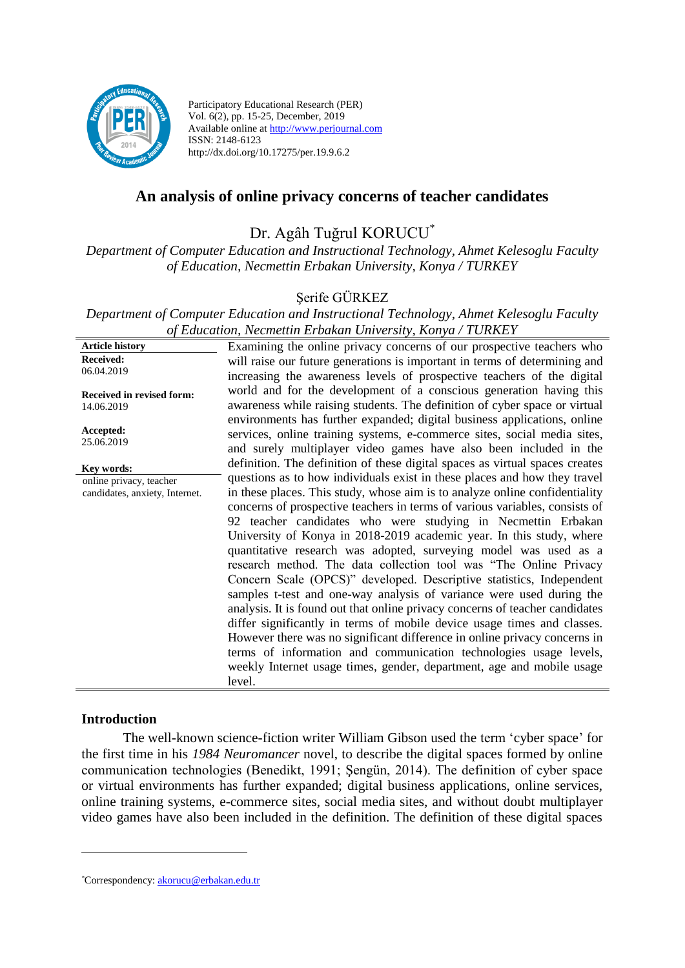

Participatory Educational Research (PER) Vol. 6(2), pp. 15-25, December, 2019 Available online at http://www.perjournal.com ISSN: 2148-6123 http://dx.doi.org/10.17275/per.19.9.6.2

# **An analysis of online privacy concerns of teacher candidates**

Dr. Agâh Tuğrul KORUCU\*

*Department of Computer Education and Instructional Technology, Ahmet Kelesoglu Faculty of Education, Necmettin Erbakan University, Konya / TURKEY*

Şerife GÜRKEZ

*Department of Computer Education and Instructional Technology, Ahmet Kelesoglu Faculty of Education, Necmettin Erbakan University, Konya / TURKEY*

| <b>Article history</b>         | Examining the online privacy concerns of our prospective teachers who        |
|--------------------------------|------------------------------------------------------------------------------|
| <b>Received:</b>               | will raise our future generations is important in terms of determining and   |
| 06.04.2019                     | increasing the awareness levels of prospective teachers of the digital       |
| Received in revised form:      | world and for the development of a conscious generation having this          |
| 14.06.2019                     | awareness while raising students. The definition of cyber space or virtual   |
|                                | environments has further expanded; digital business applications, online     |
| Accepted:                      | services, online training systems, e-commerce sites, social media sites,     |
| 25.06.2019                     | and surely multiplayer video games have also been included in the            |
| Key words:                     | definition. The definition of these digital spaces as virtual spaces creates |
| online privacy, teacher        | questions as to how individuals exist in these places and how they travel    |
| candidates, anxiety, Internet. | in these places. This study, whose aim is to analyze online confidentiality  |
|                                | concerns of prospective teachers in terms of various variables, consists of  |
|                                | 92 teacher candidates who were studying in Necmettin Erbakan                 |
|                                | University of Konya in 2018-2019 academic year. In this study, where         |
|                                | quantitative research was adopted, surveying model was used as a             |
|                                | research method. The data collection tool was "The Online Privacy            |
|                                | Concern Scale (OPCS)" developed. Descriptive statistics, Independent         |
|                                | samples t-test and one-way analysis of variance were used during the         |
|                                | analysis. It is found out that online privacy concerns of teacher candidates |
|                                | differ significantly in terms of mobile device usage times and classes.      |
|                                | However there was no significant difference in online privacy concerns in    |
|                                | terms of information and communication technologies usage levels,            |
|                                | weekly Internet usage times, gender, department, age and mobile usage        |
|                                | level.                                                                       |

#### **Introduction**

<u>.</u>

The well-known science-fiction writer William Gibson used the term 'cyber space' for the first time in his *1984 Neuromancer* novel, to describe the digital spaces formed by online communication technologies (Benedikt, 1991; Şengün, 2014). The definition of cyber space or virtual environments has further expanded; digital business applications, online services, online training systems, e-commerce sites, social media sites, and without doubt multiplayer video games have also been included in the definition. The definition of these digital spaces

*<sup>\*</sup>*Correspondency: [akorucu@erbakan.edu.tr](mailto:akorucu@erbakan.edu.tr)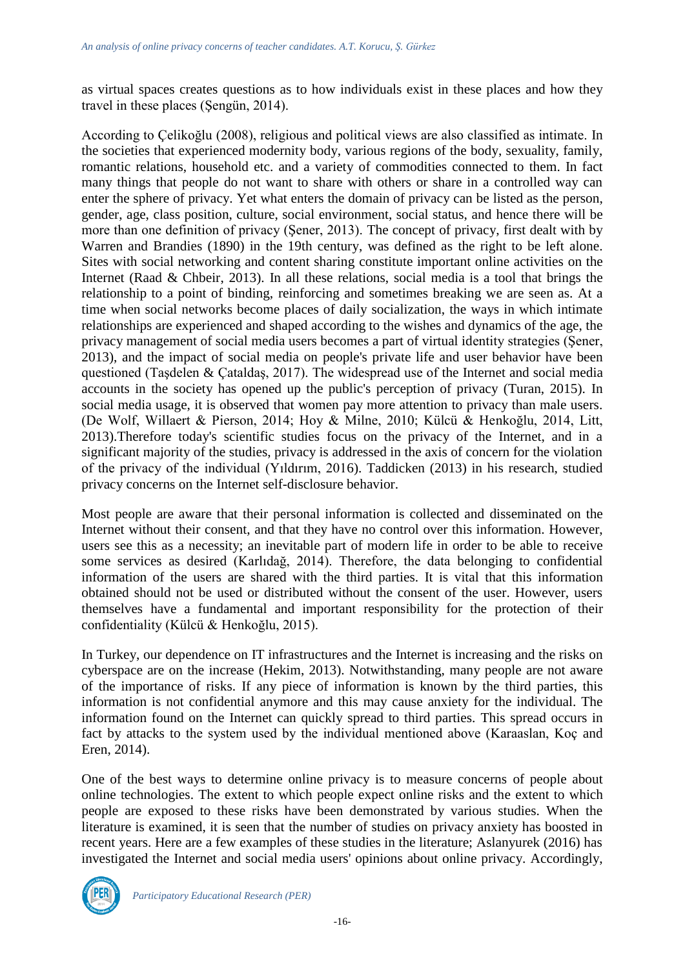as virtual spaces creates questions as to how individuals exist in these places and how they travel in these places (Şengün, 2014).

According to Çelikoğlu (2008), religious and political views are also classified as intimate. In the societies that experienced modernity body, various regions of the body, sexuality, family, romantic relations, household etc. and a variety of commodities connected to them. In fact many things that people do not want to share with others or share in a controlled way can enter the sphere of privacy. Yet what enters the domain of privacy can be listed as the person, gender, age, class position, culture, social environment, social status, and hence there will be more than one definition of privacy (Şener, 2013). The concept of privacy, first dealt with by Warren and Brandies (1890) in the 19th century, was defined as the right to be left alone. Sites with social networking and content sharing constitute important online activities on the Internet (Raad & Chbeir, 2013). In all these relations, social media is a tool that brings the relationship to a point of binding, reinforcing and sometimes breaking we are seen as. At a time when social networks become places of daily socialization, the ways in which intimate relationships are experienced and shaped according to the wishes and dynamics of the age, the privacy management of social media users becomes a part of virtual identity strategies (Şener, 2013), and the impact of social media on people's private life and user behavior have been questioned (Taşdelen & Çataldaş, 2017). The widespread use of the Internet and social media accounts in the society has opened up the public's perception of privacy (Turan, 2015). In social media usage, it is observed that women pay more attention to privacy than male users. (De Wolf, Willaert & Pierson, 2014; Hoy & Milne, 2010; Külcü & Henkoğlu, 2014, Litt, 2013).Therefore today's scientific studies focus on the privacy of the Internet, and in a significant majority of the studies, privacy is addressed in the axis of concern for the violation of the privacy of the individual (Yıldırım, 2016). Taddicken (2013) in his research, studied privacy concerns on the Internet self-disclosure behavior.

Most people are aware that their personal information is collected and disseminated on the Internet without their consent, and that they have no control over this information. However, users see this as a necessity; an inevitable part of modern life in order to be able to receive some services as desired (Karlıdağ, 2014). Therefore, the data belonging to confidential information of the users are shared with the third parties. It is vital that this information obtained should not be used or distributed without the consent of the user. However, users themselves have a fundamental and important responsibility for the protection of their confidentiality (Külcü & Henkoğlu, 2015).

In Turkey, our dependence on IT infrastructures and the Internet is increasing and the risks on cyberspace are on the increase (Hekim, 2013). Notwithstanding, many people are not aware of the importance of risks. If any piece of information is known by the third parties, this information is not confidential anymore and this may cause anxiety for the individual. The information found on the Internet can quickly spread to third parties. This spread occurs in fact by attacks to the system used by the individual mentioned above (Karaaslan, Koç and Eren, 2014).

One of the best ways to determine online privacy is to measure concerns of people about online technologies. The extent to which people expect online risks and the extent to which people are exposed to these risks have been demonstrated by various studies. When the literature is examined, it is seen that the number of studies on privacy anxiety has boosted in recent years. Here are a few examples of these studies in the literature; Aslanyurek (2016) has investigated the Internet and social media users' opinions about online privacy. Accordingly,

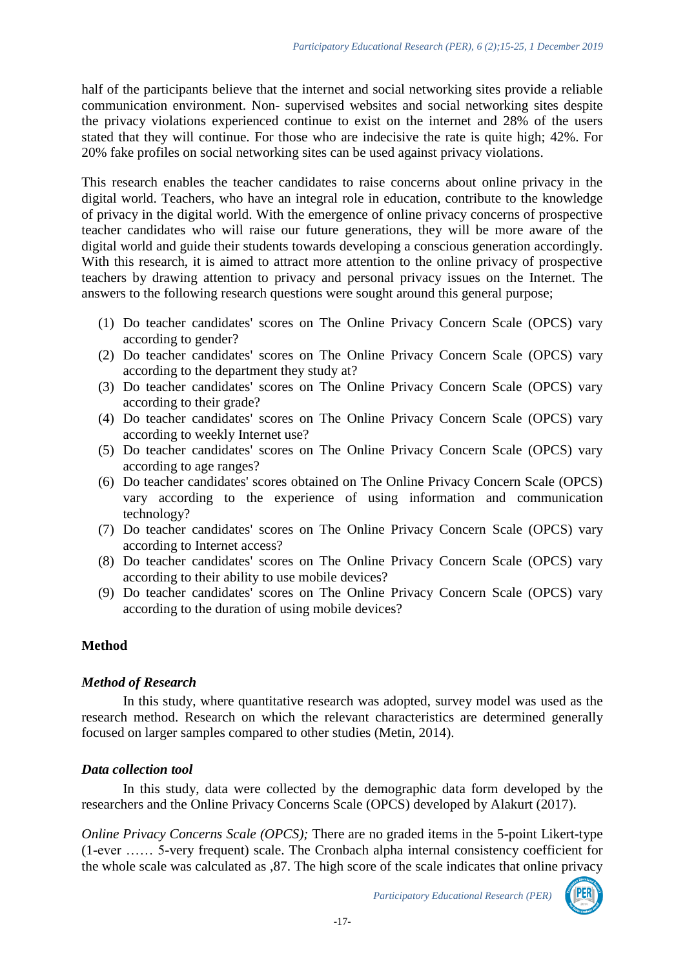half of the participants believe that the internet and social networking sites provide a reliable communication environment. Non- supervised websites and social networking sites despite the privacy violations experienced continue to exist on the internet and 28% of the users stated that they will continue. For those who are indecisive the rate is quite high; 42%. For 20% fake profiles on social networking sites can be used against privacy violations.

This research enables the teacher candidates to raise concerns about online privacy in the digital world. Teachers, who have an integral role in education, contribute to the knowledge of privacy in the digital world. With the emergence of online privacy concerns of prospective teacher candidates who will raise our future generations, they will be more aware of the digital world and guide their students towards developing a conscious generation accordingly. With this research, it is aimed to attract more attention to the online privacy of prospective teachers by drawing attention to privacy and personal privacy issues on the Internet. The answers to the following research questions were sought around this general purpose;

- (1) Do teacher candidates' scores on The Online Privacy Concern Scale (OPCS) vary according to gender?
- (2) Do teacher candidates' scores on The Online Privacy Concern Scale (OPCS) vary according to the department they study at?
- (3) Do teacher candidates' scores on The Online Privacy Concern Scale (OPCS) vary according to their grade?
- (4) Do teacher candidates' scores on The Online Privacy Concern Scale (OPCS) vary according to weekly Internet use?
- (5) Do teacher candidates' scores on The Online Privacy Concern Scale (OPCS) vary according to age ranges?
- (6) Do teacher candidates' scores obtained on The Online Privacy Concern Scale (OPCS) vary according to the experience of using information and communication technology?
- (7) Do teacher candidates' scores on The Online Privacy Concern Scale (OPCS) vary according to Internet access?
- (8) Do teacher candidates' scores on The Online Privacy Concern Scale (OPCS) vary according to their ability to use mobile devices?
- (9) Do teacher candidates' scores on The Online Privacy Concern Scale (OPCS) vary according to the duration of using mobile devices?

### **Method**

### *Method of Research*

In this study, where quantitative research was adopted, survey model was used as the research method. Research on which the relevant characteristics are determined generally focused on larger samples compared to other studies (Metin, 2014).

### *Data collection tool*

In this study, data were collected by the demographic data form developed by the researchers and the Online Privacy Concerns Scale (OPCS) developed by Alakurt (2017).

*Online Privacy Concerns Scale (OPCS);* There are no graded items in the 5-point Likert-type (1-ever …… 5-very frequent) scale. The Cronbach alpha internal consistency coefficient for the whole scale was calculated as ,87. The high score of the scale indicates that online privacy

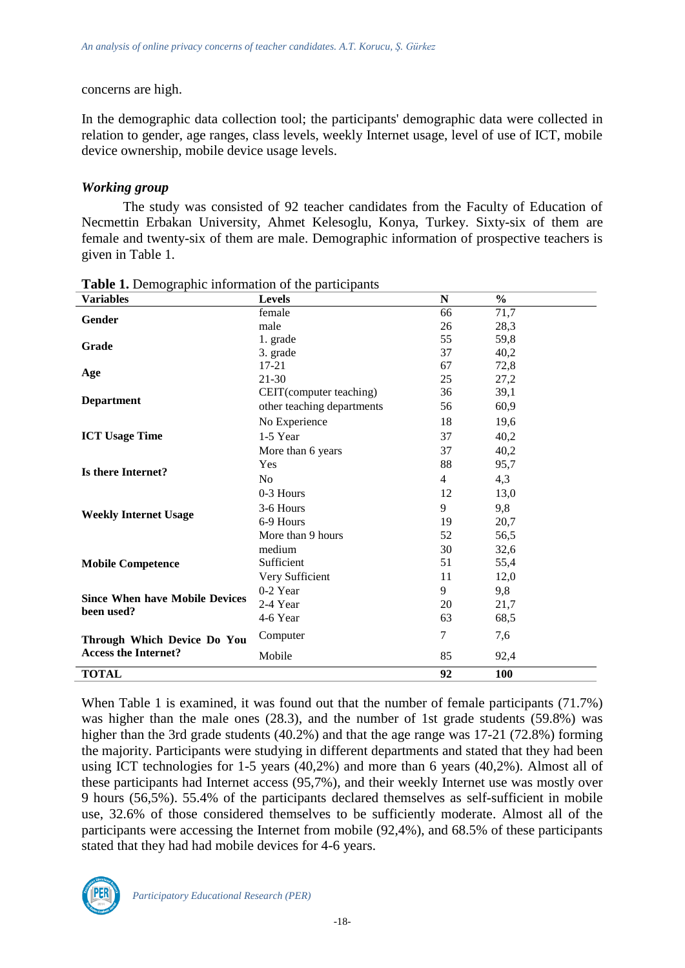#### concerns are high.

In the demographic data collection tool; the participants' demographic data were collected in relation to gender, age ranges, class levels, weekly Internet usage, level of use of ICT, mobile device ownership, mobile device usage levels.

#### *Working group*

The study was consisted of 92 teacher candidates from the Faculty of Education of Necmettin Erbakan University, Ahmet Kelesoglu, Konya, Turkey. Sixty-six of them are female and twenty-six of them are male. Demographic information of prospective teachers is given in Table 1.

| <b>Variables</b>                      | <b>Levels</b>              | N              | $\frac{6}{9}$ |
|---------------------------------------|----------------------------|----------------|---------------|
|                                       | female                     | 66             | 71,7          |
| Gender                                | male                       | 26             | 28,3          |
|                                       | 1. grade                   | 55             | 59,8          |
| Grade<br>Age                          | 3. grade                   | 37             | 40,2          |
|                                       | $17 - 21$                  | 67             | 72,8          |
| <b>Department</b>                     | $21 - 30$                  | 25             | 27,2          |
|                                       | CEIT(computer teaching)    | 36             | 39,1          |
|                                       | other teaching departments | 56             | 60,9          |
|                                       | No Experience              | 18             | 19,6          |
| <b>ICT Usage Time</b>                 | 1-5 Year                   | 37             | 40,2          |
|                                       | More than 6 years          | 37             | 40,2          |
|                                       | Yes                        | 88             | 95,7          |
| Is there Internet?                    | N <sub>o</sub>             | $\overline{4}$ | 4,3           |
|                                       | 0-3 Hours                  | 12             | 13,0          |
|                                       | 3-6 Hours                  | 9              | 9,8           |
| <b>Weekly Internet Usage</b>          | 6-9 Hours                  | 19             | 20,7          |
|                                       | More than 9 hours          | 52             | 56,5          |
|                                       | medium                     | 30             | 32,6          |
| <b>Mobile Competence</b>              | Sufficient                 | 51             | 55,4          |
|                                       | Very Sufficient            | 11             | 12,0          |
|                                       | $0-2$ Year                 | 9              | 9,8           |
| <b>Since When have Mobile Devices</b> | 2-4 Year                   | 20             | 21,7          |
| been used?                            | 4-6 Year                   | 63             | 68,5          |
| Through Which Device Do You           | Computer                   | $\tau$         | 7,6           |
| <b>Access the Internet?</b>           | Mobile                     | 85             | 92,4          |
| <b>TOTAL</b>                          |                            | 92             | 100           |

**Table 1.** Demographic information of the participants

When Table 1 is examined, it was found out that the number of female participants (71.7%) was higher than the male ones (28.3), and the number of 1st grade students (59.8%) was higher than the 3rd grade students (40.2%) and that the age range was 17-21 (72.8%) forming the majority. Participants were studying in different departments and stated that they had been using ICT technologies for 1-5 years (40,2%) and more than 6 years (40,2%). Almost all of these participants had Internet access (95,7%), and their weekly Internet use was mostly over 9 hours (56,5%). 55.4% of the participants declared themselves as self-sufficient in mobile use, 32.6% of those considered themselves to be sufficiently moderate. Almost all of the participants were accessing the Internet from mobile (92,4%), and 68.5% of these participants stated that they had had mobile devices for 4-6 years.

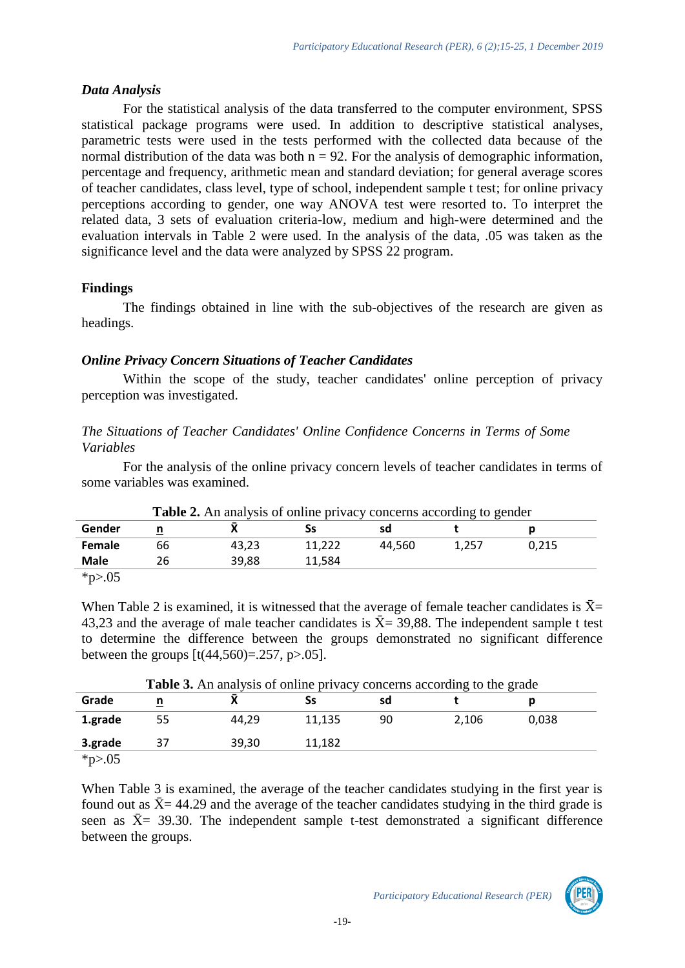### *Data Analysis*

For the statistical analysis of the data transferred to the computer environment, SPSS statistical package programs were used. In addition to descriptive statistical analyses, parametric tests were used in the tests performed with the collected data because of the normal distribution of the data was both  $n = 92$ . For the analysis of demographic information, percentage and frequency, arithmetic mean and standard deviation; for general average scores of teacher candidates, class level, type of school, independent sample t test; for online privacy perceptions according to gender, one way ANOVA test were resorted to. To interpret the related data, 3 sets of evaluation criteria-low, medium and high-were determined and the evaluation intervals in Table 2 were used. In the analysis of the data, .05 was taken as the significance level and the data were analyzed by SPSS 22 program.

## **Findings**

The findings obtained in line with the sub-objectives of the research are given as headings.

## *Online Privacy Concern Situations of Teacher Candidates*

Within the scope of the study, teacher candidates' online perception of privacy perception was investigated.

## *The Situations of Teacher Candidates' Online Confidence Concerns in Terms of Some Variables*

For the analysis of the online privacy concern levels of teacher candidates in terms of some variables was examined.

|             | <b>Table 2.</b> An analysis of online privacy concerns according to gender |       |        |        |       |       |  |  |
|-------------|----------------------------------------------------------------------------|-------|--------|--------|-------|-------|--|--|
| Gender      |                                                                            |       |        | sd     |       |       |  |  |
| Female      | 66                                                                         | 43.23 | 11.222 | 44.560 | 1.257 | 0.215 |  |  |
| <b>Male</b> | 26                                                                         | 39,88 | 11.584 |        |       |       |  |  |
| $*_{p>.05}$ |                                                                            |       |        |        |       |       |  |  |

When Table 2 is examined, it is witnessed that the average of female teacher candidates is  $\bar{X}$ = 43,23 and the average of male teacher candidates is  $\bar{X}$  = 39,88. The independent sample t test to determine the difference between the groups demonstrated no significant difference between the groups  $[t(44, 560) = .257, p > .05]$ .

|         | <b>Table 3.</b> An analysis of online privacy concerns according to the grade |       |        |    |       |       |  |  |
|---------|-------------------------------------------------------------------------------|-------|--------|----|-------|-------|--|--|
| Grade   | n                                                                             |       |        | sd |       |       |  |  |
| 1.grade | 55                                                                            | 44.29 | 11,135 | 90 | 2.106 | 0.038 |  |  |
| 3.grade | 37                                                                            | 39.30 | 11,182 |    |       |       |  |  |
| *p>.05  |                                                                               |       |        |    |       |       |  |  |

When Table 3 is examined, the average of the teacher candidates studying in the first year is found out as  $\bar{X}$  = 44.29 and the average of the teacher candidates studying in the third grade is seen as  $\bar{X}$  = 39.30. The independent sample t-test demonstrated a significant difference between the groups.

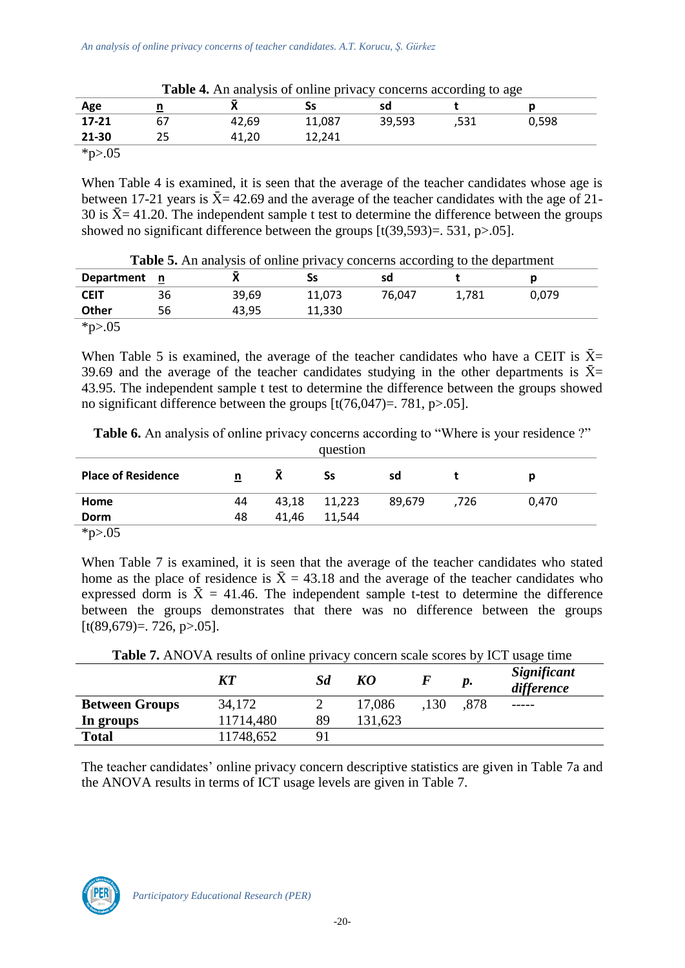| <b>Table 4.</b> All analysis of online privacy concerns according to age |    |       |        |        |      |       |
|--------------------------------------------------------------------------|----|-------|--------|--------|------|-------|
| Age                                                                      |    |       | SS     | sd     |      |       |
| 17-21                                                                    | 67 | 42.69 | 11,087 | 39,593 | ,531 | 0.598 |
| 21-30                                                                    | 25 | 41,20 | 12.241 |        |      |       |
| $*_{p>.05}$                                                              |    |       |        |        |      |       |

**Table 4.** An analysis of online privacy concerns according to age

When Table 4 is examined, it is seen that the average of the teacher candidates whose age is between 17-21 years is  $\bar{X}$  = 42.69 and the average of the teacher candidates with the age of 21-30 is  $\bar{X}$  = 41.20. The independent sample t test to determine the difference between the groups showed no significant difference between the groups [t(39,593)=. 531, p>.05].

| <b>Department</b> | n  |       | Ss     | sd     |       |       |
|-------------------|----|-------|--------|--------|-------|-------|
| <b>CEIT</b>       | 36 | 39,69 | 11,073 | 76,047 | 1.781 | 0,079 |
| Other             | 56 | 43,95 | 11,330 |        |       |       |
| $*_{p>0.05}$      |    |       |        |        |       |       |

**Table 5.** An analysis of online privacy concerns according to the department

When Table 5 is examined, the average of the teacher candidates who have a CEIT is  $\bar{X}$ = 39.69 and the average of the teacher candidates studying in the other departments is  $\bar{X}$ = 43.95. The independent sample t test to determine the difference between the groups showed no significant difference between the groups  $[t(76,047)=.781, p>0.05]$ .

|                           |    |       | question |        |      |       |  |
|---------------------------|----|-------|----------|--------|------|-------|--|
| <b>Place of Residence</b> | n  |       | Ss       | sd     |      | n     |  |
| Home                      | 44 | 43,18 | 11,223   | 89.679 | .726 | 0.470 |  |
| <b>Dorm</b>               | 48 | 41,46 | 11,544   |        |      |       |  |
| $\star \sim 05$           |    |       |          |        |      |       |  |

Table 6. An analysis of online privacy concerns according to "Where is your residence ?"

 $*_{p>0.05}$ 

When Table 7 is examined, it is seen that the average of the teacher candidates who stated home as the place of residence is  $\bar{X} = 43.18$  and the average of the teacher candidates who expressed dorm is  $\bar{X} = 41.46$ . The independent sample t-test to determine the difference between the groups demonstrates that there was no difference between the groups  $[t(89,679)=726, p>05]$ .

| <b>Table 7.</b> ANOVA results of online privacy concern scale scores by ICT usage time |           |    |         |      |      |                           |  |
|----------------------------------------------------------------------------------------|-----------|----|---------|------|------|---------------------------|--|
|                                                                                        | <b>KT</b> | Sd | KO      |      | p.   | Significant<br>difference |  |
| <b>Between Groups</b>                                                                  | 34,172    |    | 17,086  | .130 | .878 |                           |  |
| In groups                                                                              | 11714,480 | 89 | 131,623 |      |      |                           |  |
| <b>Total</b>                                                                           | 11748,652 | 91 |         |      |      |                           |  |

The teacher candidates' online privacy concern descriptive statistics are given in Table 7a and the ANOVA results in terms of ICT usage levels are given in Table 7.

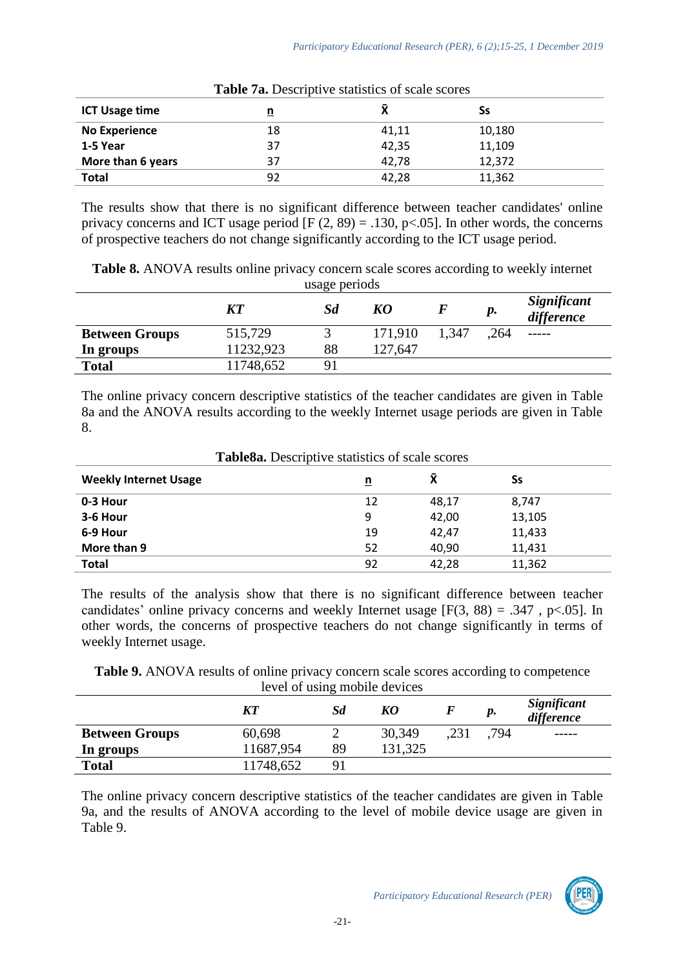| <b>Table 7a.</b> Descriptive statistics of scale scores |    |       |        |  |  |  |
|---------------------------------------------------------|----|-------|--------|--|--|--|
| <b>ICT Usage time</b>                                   |    |       | Ss     |  |  |  |
| <b>No Experience</b>                                    | 18 | 41,11 | 10,180 |  |  |  |
| 1-5 Year                                                | 37 | 42,35 | 11,109 |  |  |  |
| More than 6 years                                       | 37 | 42.78 | 12.372 |  |  |  |
| <b>Total</b>                                            | 92 | 42,28 | 11,362 |  |  |  |

The results show that there is no significant difference between teacher candidates' online privacy concerns and ICT usage period  $[F (2, 89) = .130, p<.05]$ . In other words, the concerns of prospective teachers do not change significantly according to the ICT usage period.

**Table 8.** ANOVA results online privacy concern scale scores according to weekly internet usage periods

|                       | <b>KT</b> | Sd | KO      |       | р.   | Significant<br>difference |
|-----------------------|-----------|----|---------|-------|------|---------------------------|
| <b>Between Groups</b> | 515,729   |    | 171,910 | 1.347 | .264 |                           |
| In groups             | 11232,923 | 88 | 127,647 |       |      |                           |
| <b>Total</b>          | 11748,652 | 91 |         |       |      |                           |

The online privacy concern descriptive statistics of the teacher candidates are given in Table 8a and the ANOVA results according to the weekly Internet usage periods are given in Table 8.

| <b>Table Sa.</b> Descriptive statistics of scale scores |          |          |        |  |  |  |
|---------------------------------------------------------|----------|----------|--------|--|--|--|
| <b>Weekly Internet Usage</b>                            | <u>ກ</u> | <b>X</b> | Ss     |  |  |  |
| 0-3 Hour                                                | 12       | 48,17    | 8,747  |  |  |  |
| 3-6 Hour                                                | 9        | 42,00    | 13,105 |  |  |  |
| 6-9 Hour                                                | 19       | 42.47    | 11,433 |  |  |  |
| More than 9                                             | 52       | 40,90    | 11,431 |  |  |  |
| <b>Total</b>                                            | 92       | 42.28    | 11,362 |  |  |  |

**Table8a.** Descriptive statistics of scale scores

The results of the analysis show that there is no significant difference between teacher candidates' online privacy concerns and weekly Internet usage  $[F(3, 88) = .347, p < .05]$ . In other words, the concerns of prospective teachers do not change significantly in terms of weekly Internet usage.

**Table 9.** ANOVA results of online privacy concern scale scores according to competence level of using mobile devices

|                       | KT        | Sd             | KO      |      | p.   | Significant<br>difference |
|-----------------------|-----------|----------------|---------|------|------|---------------------------|
| <b>Between Groups</b> | 60,698    |                | 30,349  | .231 | .794 | -----                     |
| In groups             | 11687,954 | 89             | 131,325 |      |      |                           |
| <b>Total</b>          | 11748,652 | 9 <sup>1</sup> |         |      |      |                           |

The online privacy concern descriptive statistics of the teacher candidates are given in Table 9a, and the results of ANOVA according to the level of mobile device usage are given in Table 9.

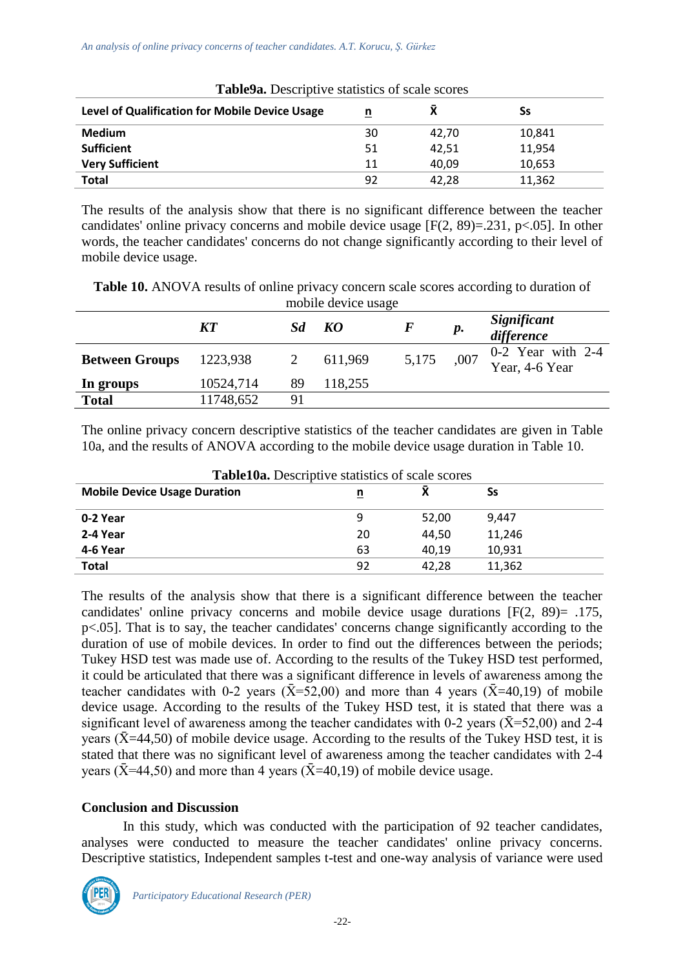| <b>Table9a.</b> Descriptive statistics of scale scores |    |       |        |  |  |  |
|--------------------------------------------------------|----|-------|--------|--|--|--|
| Level of Qualification for Mobile Device Usage         | n  | Χ     | Ss     |  |  |  |
| <b>Medium</b>                                          | 30 | 42.70 | 10,841 |  |  |  |
| <b>Sufficient</b>                                      | 51 | 42,51 | 11,954 |  |  |  |
| <b>Very Sufficient</b>                                 | 11 | 40,09 | 10,653 |  |  |  |
| Total                                                  | 92 | 42.28 | 11,362 |  |  |  |

The results of the analysis show that there is no significant difference between the teacher candidates' online privacy concerns and mobile device usage [F(2, 89)=.231, p<.05]. In other words, the teacher candidates' concerns do not change significantly according to their level of mobile device usage.

| <b>Table 10.</b> ANOVA results of online privacy concern scale scores according to duration of |
|------------------------------------------------------------------------------------------------|
| mobile device usage                                                                            |

|                       | <b>KT</b> |    | KO      |       | р.   | Significant<br>difference             |
|-----------------------|-----------|----|---------|-------|------|---------------------------------------|
| <b>Between Groups</b> | 1223,938  |    | 611,969 | 5,175 | ,007 | $0-2$ Year with 2-4<br>Year, 4-6 Year |
| In groups             | 10524,714 | 89 | 118,255 |       |      |                                       |
| <b>Total</b>          | 11748,652 | 91 |         |       |      |                                       |

The online privacy concern descriptive statistics of the teacher candidates are given in Table 10a, and the results of ANOVA according to the mobile device usage duration in Table 10.

| <b>Table10a.</b> Descriptive statistics of scale scores |    |       |        |  |  |  |
|---------------------------------------------------------|----|-------|--------|--|--|--|
| <b>Mobile Device Usage Duration</b>                     | n  |       | Ss     |  |  |  |
| 0-2 Year                                                | 9  | 52.00 | 9.447  |  |  |  |
| 2-4 Year                                                | 20 | 44.50 | 11,246 |  |  |  |
| 4-6 Year                                                | 63 | 40.19 | 10,931 |  |  |  |
| <b>Total</b>                                            | 92 | 42.28 | 11,362 |  |  |  |

The results of the analysis show that there is a significant difference between the teacher candidates' online privacy concerns and mobile device usage durations [F(2, 89)= .175, p<.05]. That is to say, the teacher candidates' concerns change significantly according to the duration of use of mobile devices. In order to find out the differences between the periods; Tukey HSD test was made use of. According to the results of the Tukey HSD test performed, it could be articulated that there was a significant difference in levels of awareness among the teacher candidates with 0-2 years ( $\bar{X}$ =52,00) and more than 4 years ( $\bar{X}$ =40,19) of mobile device usage. According to the results of the Tukey HSD test, it is stated that there was a significant level of awareness among the teacher candidates with 0-2 years ( $\bar{X}$ =52,00) and 2-4 years ( $\bar{X}$ =44,50) of mobile device usage. According to the results of the Tukey HSD test, it is stated that there was no significant level of awareness among the teacher candidates with 2-4 years ( $\bar{X}$ =44,50) and more than 4 years ( $\bar{X}$ =40,19) of mobile device usage.

### **Conclusion and Discussion**

In this study, which was conducted with the participation of 92 teacher candidates, analyses were conducted to measure the teacher candidates' online privacy concerns. Descriptive statistics, Independent samples t-test and one-way analysis of variance were used

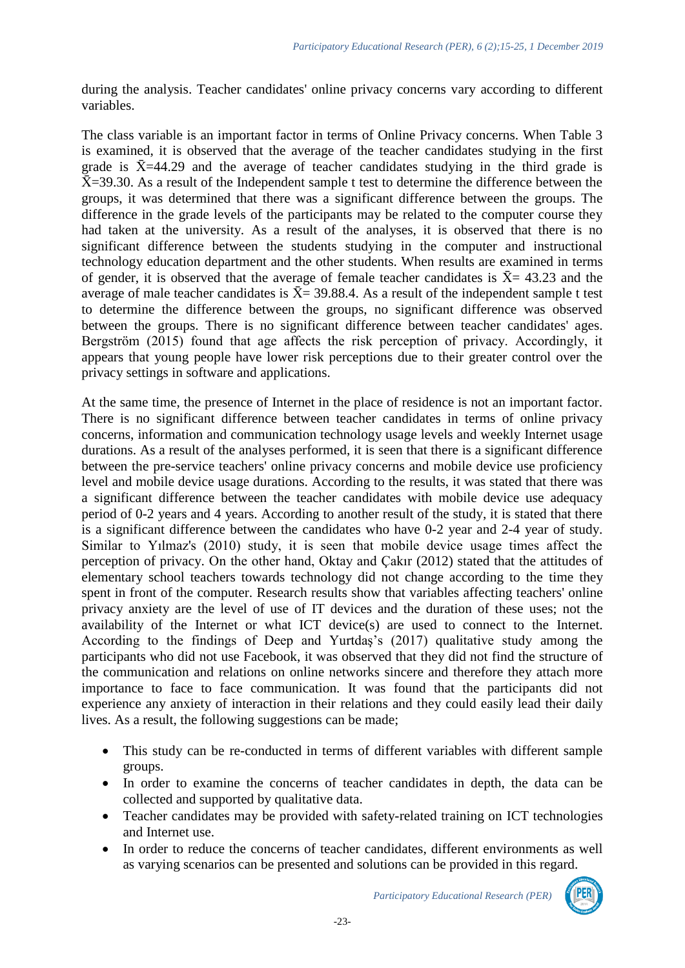during the analysis. Teacher candidates' online privacy concerns vary according to different variables.

The class variable is an important factor in terms of Online Privacy concerns. When Table 3 is examined, it is observed that the average of the teacher candidates studying in the first grade is  $\bar{X}$ =44.29 and the average of teacher candidates studying in the third grade is  $\bar{X}$ =39.30. As a result of the Independent sample t test to determine the difference between the groups, it was determined that there was a significant difference between the groups. The difference in the grade levels of the participants may be related to the computer course they had taken at the university. As a result of the analyses, it is observed that there is no significant difference between the students studying in the computer and instructional technology education department and the other students. When results are examined in terms of gender, it is observed that the average of female teacher candidates is  $\bar{X}$  = 43.23 and the average of male teacher candidates is  $\bar{X}$  = 39.88.4. As a result of the independent sample t test to determine the difference between the groups, no significant difference was observed between the groups. There is no significant difference between teacher candidates' ages. Bergström (2015) found that age affects the risk perception of privacy. Accordingly, it appears that young people have lower risk perceptions due to their greater control over the privacy settings in software and applications.

At the same time, the presence of Internet in the place of residence is not an important factor. There is no significant difference between teacher candidates in terms of online privacy concerns, information and communication technology usage levels and weekly Internet usage durations. As a result of the analyses performed, it is seen that there is a significant difference between the pre-service teachers' online privacy concerns and mobile device use proficiency level and mobile device usage durations. According to the results, it was stated that there was a significant difference between the teacher candidates with mobile device use adequacy period of 0-2 years and 4 years. According to another result of the study, it is stated that there is a significant difference between the candidates who have 0-2 year and 2-4 year of study. Similar to Yılmaz's (2010) study, it is seen that mobile device usage times affect the perception of privacy. On the other hand, Oktay and Çakır (2012) stated that the attitudes of elementary school teachers towards technology did not change according to the time they spent in front of the computer. Research results show that variables affecting teachers' online privacy anxiety are the level of use of IT devices and the duration of these uses; not the availability of the Internet or what ICT device(s) are used to connect to the Internet. According to the findings of Deep and Yurtdaş's (2017) qualitative study among the participants who did not use Facebook, it was observed that they did not find the structure of the communication and relations on online networks sincere and therefore they attach more importance to face to face communication. It was found that the participants did not experience any anxiety of interaction in their relations and they could easily lead their daily lives. As a result, the following suggestions can be made;

- This study can be re-conducted in terms of different variables with different sample groups.
- In order to examine the concerns of teacher candidates in depth, the data can be collected and supported by qualitative data.
- Teacher candidates may be provided with safety-related training on ICT technologies and Internet use.
- In order to reduce the concerns of teacher candidates, different environments as well as varying scenarios can be presented and solutions can be provided in this regard.

*Participatory Educational Research (PER)*

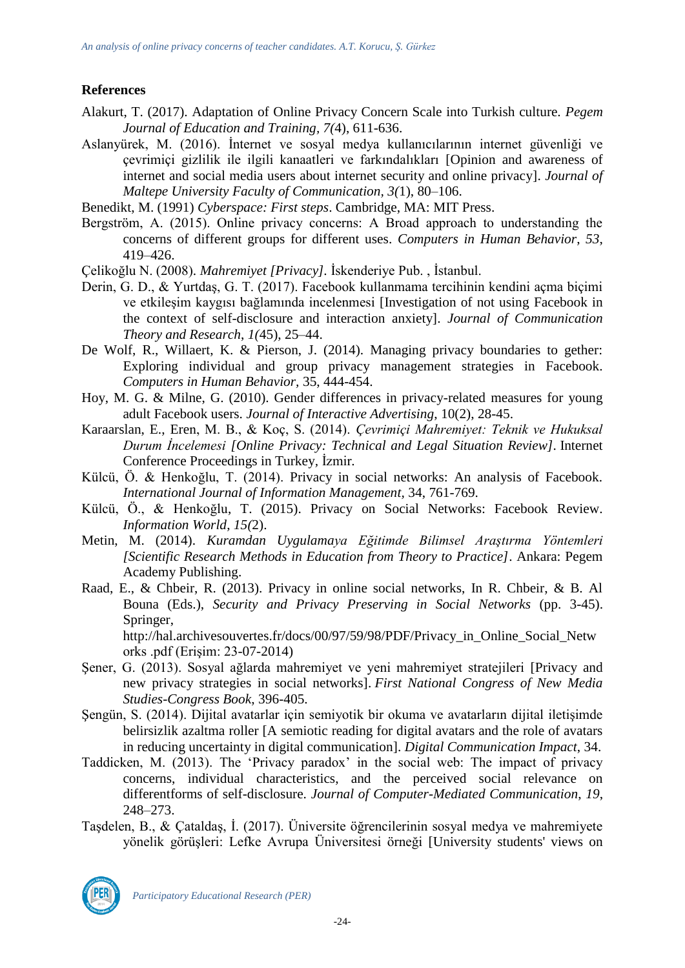# **References**

- Alakurt, T. (2017). Adaptation of Online Privacy Concern Scale into Turkish culture. *Pegem Journal of Education and Training, 7(*4), 611-636.
- Aslanyürek, M. (2016). İnternet ve sosyal medya kullanıcılarının internet güvenliği ve çevrimiçi gizlilik ile ilgili kanaatleri ve farkındalıkları [Opinion and awareness of internet and social media users about internet security and online privacy]. *Journal of Maltepe University Faculty of Communication, 3(*1), 80–106.

Benedikt, M. (1991) *Cyberspace: First steps*. Cambridge, MA: MIT Press.

- Bergström, A. (2015). Online privacy concerns: A Broad approach to understanding the concerns of different groups for different uses. *Computers in Human Behavior*, *53*, 419–426.
- Çelikoğlu N. (2008). *Mahremiyet [Privacy].* İskenderiye Pub. , İstanbul.
- Derin, G. D., & Yurtdaş, G. T. (2017). Facebook kullanmama tercihinin kendini açma biçimi ve etkileşim kaygısı bağlamında incelenmesi [Investigation of not using Facebook in the context of self-disclosure and interaction anxiety]. *Journal of Communication Theory and Research*, *1(*45), 25–44.
- De Wolf, R., Willaert, K. & Pierson, J. (2014). Managing privacy boundaries to gether: Exploring individual and group privacy management strategies in Facebook. *Computers in Human Behavior,* 35, 444-454.
- Hoy, M. G. & Milne, G. (2010). Gender differences in privacy-related measures for young adult Facebook users. *Journal of Interactive Advertising*, 10(2), 28-45.
- Karaarslan, E., Eren, M. B., & Koç, S. (2014). *Çevrimiçi Mahremiyet: Teknik ve Hukuksal Durum İncelemesi [Online Privacy: Technical and Legal Situation Review].* Internet Conference Proceedings in Turkey*,* İzmir*.*
- Külcü, Ö. & Henkoğlu, T. (2014). Privacy in social networks: An analysis of Facebook*. International Journal of Information Management,* 34, 761-769.
- Külcü, Ö., & Henkoğlu, T. (2015). Privacy on Social Networks: Facebook Review. *Information World*, *15(*2).
- Metin, M. (2014). *Kuramdan Uygulamaya Eğitimde Bilimsel Araştırma Yöntemleri [Scientific Research Methods in Education from Theory to Practice]*. Ankara: Pegem Academy Publishing.
- Raad, E., & Chbeir, R. (2013). Privacy in online social networks, In R. Chbeir, & B. Al Bouna (Eds.), *Security and Privacy Preserving in Social Networks* (pp. 3-45). Springer,

http://hal.archivesouvertes.fr/docs/00/97/59/98/PDF/Privacy\_in\_Online\_Social\_Netw orks .pdf (Erişim: 23-07-2014)

- Şener, G. (2013). Sosyal ağlarda mahremiyet ve yeni mahremiyet stratejileri [Privacy and new privacy strategies in social networks]. *First National Congress of New Media Studies-Congress Book*, 396-405.
- Şengün, S. (2014). Dijital avatarlar için semiyotik bir okuma ve avatarların dijital iletişimde belirsizlik azaltma roller [A semiotic reading for digital avatars and the role of avatars in reducing uncertainty in digital communication]. *Digital Communication Impact*, 34.
- Taddicken, M. (2013). The 'Privacy paradox' in the social web: The impact of privacy concerns, individual characteristics, and the perceived social relevance on differentforms of self-disclosure. *Journal of Computer-Mediated Communication*, *19*, 248–273.
- Taşdelen, B., & Çataldaş, İ. (2017). Üniversite öğrencilerinin sosyal medya ve mahremiyete yönelik görüşleri: Lefke Avrupa Üniversitesi örneği [University students' views on